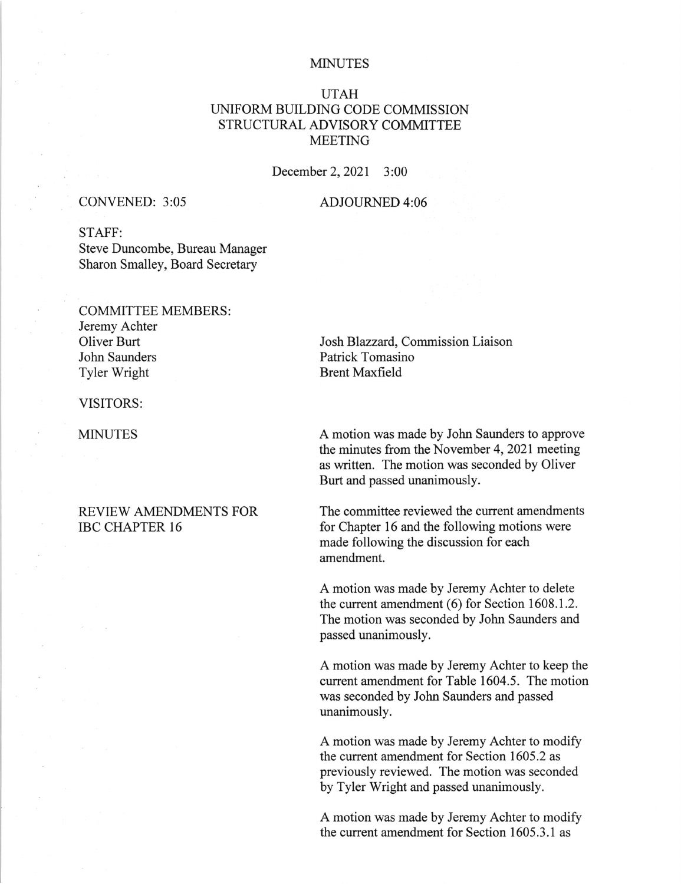#### MINUTES

# UTAH UNIFORM BUILDING CODE COMMISSION STRUCTURAL ADVISORY COMMITTEE MEETING

December 2,2021 3:00

## CONVENED: 3:05 ADJOURNED 4:06

STAFF: Steve Duncombe, Bureau Manager Sharon Smalley, Board Secretary

### COMMITTEE MEMBERS:

Jeremy Achter Oliver Burt John Saunders Tyler Wright

VISITORS:

**MINUTES** 

## REVIEW AMENDMENTS FOR IBC CHAPTER 16

Josh Blazzard, Commission Liaison Patrick Tomasino Brent Maxfield

A motion was made by John Saunders to approve the minutes from the November 4, 2021 meeting as written. The motion was seconded by Oliver Burt and passed unanimously.

The committee reviewed the current amendments for Chapter 16 and the following motions were made following the discussion for each amendment.

A motion was made by Jeremy Achter to delete the current amendment (6) for Section 1608.1.2. The motion was seconded by John Saunders and passed unanimously.

A motion was made by Jeremy Achter to keep the current amendment for Table 1604.5. The motion was seconded by John Saunders and passed unanimously.

A motion was made by Jeremy Achter to modify the current amendment for Section 1605.2 as previously reviewed. The motion was seconded by Tyler Wright and passed unanimously.

A motion was made by Jeremy Achter to modify the current amendment for Section 1605.3.1 as